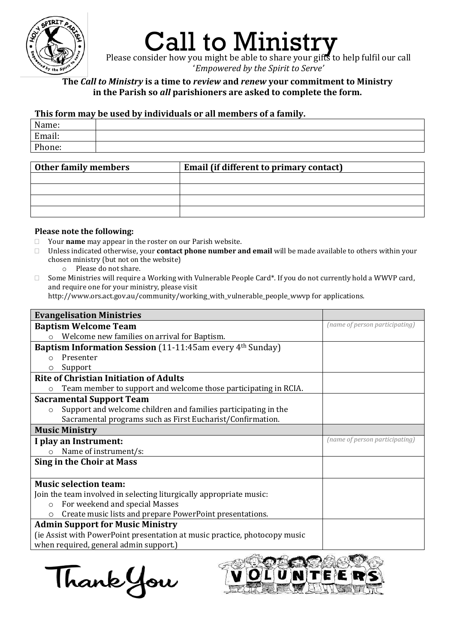

## Call to Ministry

Please consider how you might be able to share your gifts to help fulfil our call '*Empowered by the Spirit to Serve'*

## **The** *Call to Ministry* **is a time to** *review* **and** *renew* **your commitment to Ministry in the Parish so** *all* **parishioners are asked to complete the form.**

## **This form may be used by individuals or all members of a family.**

| Name:  |  |
|--------|--|
| Email: |  |
| Phone: |  |
|        |  |

| <b>Other family members</b> | Email (if different to primary contact) |
|-----------------------------|-----------------------------------------|
|                             |                                         |
|                             |                                         |
|                             |                                         |
|                             |                                         |

## **Please note the following:**

- Your **name** may appear in the roster on our Parish website.
- Unless indicated otherwise, your **contact phone number and email** will be made available to others within your chosen ministry (but not on the website)
	- o Please do not share.
- $\Box$  Some Ministries will require a Working with Vulnerable People Card\*. If you do not currently hold a WWVP card, and require one for your ministry, please visit

http://www.ors.act.gov.au/community/working\_with\_vulnerable\_people\_wwvp for applications.

| <b>Evangelisation Ministries</b>                                             |                                |
|------------------------------------------------------------------------------|--------------------------------|
| <b>Baptism Welcome Team</b>                                                  | (name of person participating) |
| Welcome new families on arrival for Baptism.                                 |                                |
| <b>Baptism Information Session</b> (11-11:45am every 4 <sup>th</sup> Sunday) |                                |
| Presenter<br>$\Omega$                                                        |                                |
| Support<br>Ο                                                                 |                                |
| <b>Rite of Christian Initiation of Adults</b>                                |                                |
| Team member to support and welcome those participating in RCIA.<br>O         |                                |
| <b>Sacramental Support Team</b>                                              |                                |
| Support and welcome children and families participating in the<br>$\circ$    |                                |
| Sacramental programs such as First Eucharist/Confirmation.                   |                                |
| <b>Music Ministry</b>                                                        |                                |
| I play an Instrument:                                                        | (name of person participating) |
| Name of instrument/s:<br>$\Omega$                                            |                                |
| Sing in the Choir at Mass                                                    |                                |
|                                                                              |                                |
| <b>Music selection team:</b>                                                 |                                |
| Join the team involved in selecting liturgically appropriate music:          |                                |
| For weekend and special Masses<br>$\circ$                                    |                                |
| Create music lists and prepare PowerPoint presentations.                     |                                |
| <b>Admin Support for Music Ministry</b>                                      |                                |
| (ie Assist with PowerPoint presentation at music practice, photocopy music   |                                |
| when required, general admin support.)                                       |                                |

Thank You

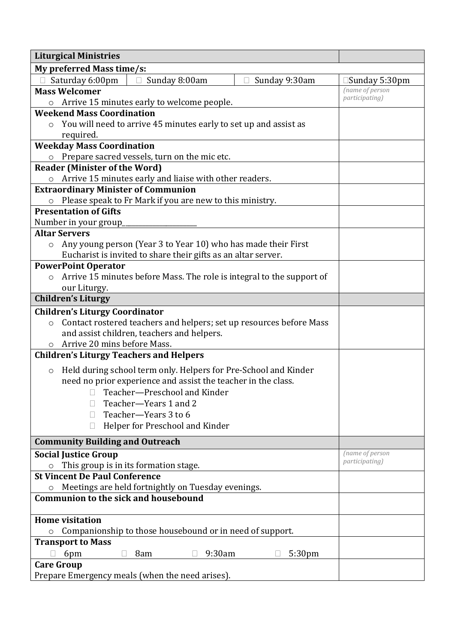| <b>Liturgical Ministries</b>                                                   |                                           |
|--------------------------------------------------------------------------------|-------------------------------------------|
| My preferred Mass time/s:                                                      |                                           |
| Saturday 6:00pm<br>Sunday 8:00am<br>Sunday 9:30am<br>$\Box$                    | $\square$ Sunday 5:30pm                   |
| <b>Mass Welcomer</b>                                                           | (name of person                           |
| Arrive 15 minutes early to welcome people.<br>$\circ$                          | <i>participating</i> )                    |
| <b>Weekend Mass Coordination</b>                                               |                                           |
| You will need to arrive 45 minutes early to set up and assist as               |                                           |
| required.                                                                      |                                           |
| <b>Weekday Mass Coordination</b>                                               |                                           |
| Prepare sacred vessels, turn on the mic etc.                                   |                                           |
| <b>Reader (Minister of the Word)</b>                                           |                                           |
| Arrive 15 minutes early and liaise with other readers.<br>$\circ$              |                                           |
| <b>Extraordinary Minister of Communion</b>                                     |                                           |
| Please speak to Fr Mark if you are new to this ministry.<br>$\circ$            |                                           |
| <b>Presentation of Gifts</b>                                                   |                                           |
| Number in your group                                                           |                                           |
| <b>Altar Servers</b>                                                           |                                           |
| Any young person (Year 3 to Year 10) who has made their First<br>$\circ$       |                                           |
| Eucharist is invited to share their gifts as an altar server.                  |                                           |
| <b>PowerPoint Operator</b>                                                     |                                           |
| Arrive 15 minutes before Mass. The role is integral to the support of          |                                           |
| our Liturgy.                                                                   |                                           |
| <b>Children's Liturgy</b>                                                      |                                           |
| <b>Children's Liturgy Coordinator</b>                                          |                                           |
| Contact rostered teachers and helpers; set up resources before Mass<br>$\circ$ |                                           |
| and assist children, teachers and helpers.                                     |                                           |
| Arrive 20 mins before Mass.                                                    |                                           |
| <b>Children's Liturgy Teachers and Helpers</b>                                 |                                           |
| Held during school term only. Helpers for Pre-School and Kinder<br>$\circ$     |                                           |
| need no prior experience and assist the teacher in the class.                  |                                           |
| □ Teacher-Preschool and Kinder                                                 |                                           |
| Teacher-Years 1 and 2                                                          |                                           |
| Teacher-Years 3 to 6                                                           |                                           |
| Helper for Preschool and Kinder<br>$\mathbf{L}$                                |                                           |
|                                                                                |                                           |
| <b>Community Building and Outreach</b>                                         |                                           |
| <b>Social Justice Group</b>                                                    | (name of person<br><i>participating</i> ) |
| This group is in its formation stage.                                          |                                           |
| <b>St Vincent De Paul Conference</b>                                           |                                           |
| Meetings are held fortnightly on Tuesday evenings.                             |                                           |
| <b>Communion to the sick and housebound</b>                                    |                                           |
| <b>Home visitation</b>                                                         |                                           |
| Companionship to those housebound or in need of support.                       |                                           |
| <b>Transport to Mass</b>                                                       |                                           |
| 9:30am<br>5:30 <sub>pm</sub><br>6pm<br>8am<br>П                                |                                           |
| <b>Care Group</b>                                                              |                                           |
| Prepare Emergency meals (when the need arises).                                |                                           |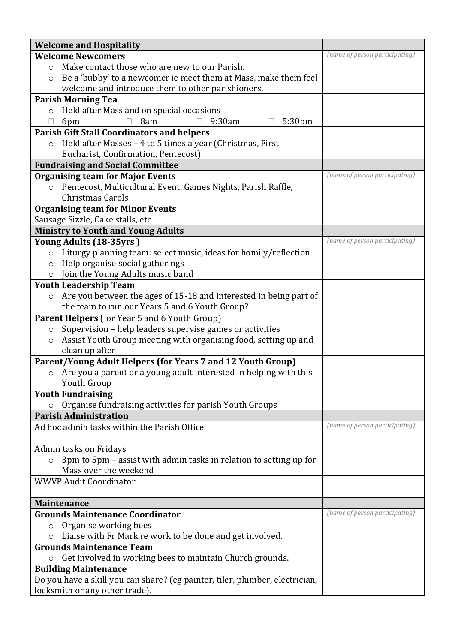| <b>Welcome and Hospitality</b>                                                |                                |
|-------------------------------------------------------------------------------|--------------------------------|
| <b>Welcome Newcomers</b>                                                      | (name of person participating) |
| Make contact those who are new to our Parish.<br>$\circ$                      |                                |
| Be a 'bubby' to a newcomer ie meet them at Mass, make them feel<br>$\circ$    |                                |
| welcome and introduce them to other parishioners.                             |                                |
| <b>Parish Morning Tea</b>                                                     |                                |
| Held after Mass and on special occasions<br>$\circ$                           |                                |
| 9:30am<br>8am<br>5:30pm<br>6pm                                                |                                |
| <b>Parish Gift Stall Coordinators and helpers</b>                             |                                |
| Held after Masses - 4 to 5 times a year (Christmas, First                     |                                |
| Eucharist, Confirmation, Pentecost)                                           |                                |
| <b>Fundraising and Social Committee</b>                                       |                                |
| <b>Organising team for Major Events</b>                                       | (name of person participating) |
| Pentecost, Multicultural Event, Games Nights, Parish Raffle,<br>$\circ$       |                                |
| Christmas Carols                                                              |                                |
| <b>Organising team for Minor Events</b>                                       |                                |
| Sausage Sizzle, Cake stalls, etc                                              |                                |
| <b>Ministry to Youth and Young Adults</b>                                     |                                |
| Young Adults (18-35yrs)                                                       | (name of person participating) |
| Liturgy planning team: select music, ideas for homily/reflection<br>$\circ$   |                                |
| Help organise social gatherings<br>$\circ$                                    |                                |
| Join the Young Adults music band<br>$\circ$                                   |                                |
| <b>Youth Leadership Team</b>                                                  |                                |
| Are you between the ages of 15-18 and interested in being part of<br>$\circ$  |                                |
| the team to run our Years 5 and 6 Youth Group?                                |                                |
| Parent Helpers (for Year 5 and 6 Youth Group)                                 |                                |
| Supervision - help leaders supervise games or activities<br>$\circ$           |                                |
| Assist Youth Group meeting with organising food, setting up and<br>$\circ$    |                                |
| clean up after                                                                |                                |
| Parent/Young Adult Helpers (for Years 7 and 12 Youth Group)                   |                                |
| Are you a parent or a young adult interested in helping with this<br>$\circ$  |                                |
| Youth Group                                                                   |                                |
| <b>Youth Fundraising</b>                                                      |                                |
| Organise fundraising activities for parish Youth Groups                       |                                |
| <b>Parish Administration</b>                                                  | (name of person participating) |
| Ad hoc admin tasks within the Parish Office                                   |                                |
| Admin tasks on Fridays                                                        |                                |
| 3pm to 5pm - assist with admin tasks in relation to setting up for<br>$\circ$ |                                |
| Mass over the weekend                                                         |                                |
| <b>WWVP Audit Coordinator</b>                                                 |                                |
|                                                                               |                                |
| <b>Maintenance</b>                                                            |                                |
| <b>Grounds Maintenance Coordinator</b>                                        | (name of person participating) |
| Organise working bees<br>$\circ$                                              |                                |
| Liaise with Fr Mark re work to be done and get involved.                      |                                |
| <b>Grounds Maintenance Team</b>                                               |                                |
| Get involved in working bees to maintain Church grounds.<br>$\circ$           |                                |
| <b>Building Maintenance</b>                                                   |                                |
| Do you have a skill you can share? (eg painter, tiler, plumber, electrician,  |                                |
| locksmith or any other trade).                                                |                                |